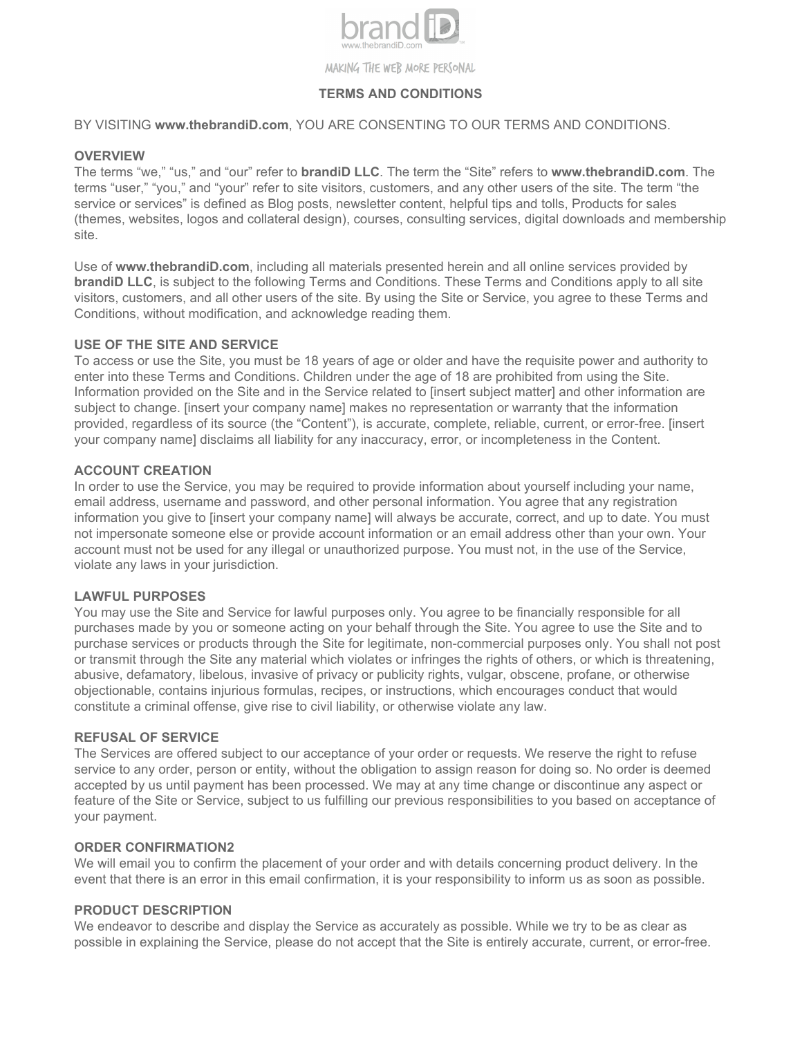

# **TERMS AND CONDITIONS**

BY VISITING **www.thebrandiD.com**, YOU ARE CONSENTING TO OUR TERMS AND CONDITIONS.

### **OVERVIEW**

The terms "we," "us," and "our" refer to **brandiD LLC**. The term the "Site" refers to **www.thebrandiD.com**. The terms "user," "you," and "your" refer to site visitors, customers, and any other users of the site. The term "the service or services" is defined as Blog posts, newsletter content, helpful tips and tolls, Products for sales (themes, websites, logos and collateral design), courses, consulting services, digital downloads and membership site.

Use of **www.thebrandiD.com**, including all materials presented herein and all online services provided by **brandiD LLC**, is subject to the following Terms and Conditions. These Terms and Conditions apply to all site visitors, customers, and all other users of the site. By using the Site or Service, you agree to these Terms and Conditions, without modification, and acknowledge reading them.

## **USE OF THE SITE AND SERVICE**

To access or use the Site, you must be 18 years of age or older and have the requisite power and authority to enter into these Terms and Conditions. Children under the age of 18 are prohibited from using the Site. Information provided on the Site and in the Service related to [insert subject matter] and other information are subject to change. [insert your company name] makes no representation or warranty that the information provided, regardless of its source (the "Content"), is accurate, complete, reliable, current, or error-free. [insert your company name] disclaims all liability for any inaccuracy, error, or incompleteness in the Content.

## **ACCOUNT CREATION**

In order to use the Service, you may be required to provide information about yourself including your name, email address, username and password, and other personal information. You agree that any registration information you give to [insert your company name] will always be accurate, correct, and up to date. You must not impersonate someone else or provide account information or an email address other than your own. Your account must not be used for any illegal or unauthorized purpose. You must not, in the use of the Service, violate any laws in your jurisdiction.

#### **LAWFUL PURPOSES**

You may use the Site and Service for lawful purposes only. You agree to be financially responsible for all purchases made by you or someone acting on your behalf through the Site. You agree to use the Site and to purchase services or products through the Site for legitimate, non-commercial purposes only. You shall not post or transmit through the Site any material which violates or infringes the rights of others, or which is threatening, abusive, defamatory, libelous, invasive of privacy or publicity rights, vulgar, obscene, profane, or otherwise objectionable, contains injurious formulas, recipes, or instructions, which encourages conduct that would constitute a criminal offense, give rise to civil liability, or otherwise violate any law.

#### **REFUSAL OF SERVICE**

The Services are offered subject to our acceptance of your order or requests. We reserve the right to refuse service to any order, person or entity, without the obligation to assign reason for doing so. No order is deemed accepted by us until payment has been processed. We may at any time change or discontinue any aspect or feature of the Site or Service, subject to us fulfilling our previous responsibilities to you based on acceptance of your payment.

#### **ORDER CONFIRMATION2**

We will email you to confirm the placement of your order and with details concerning product delivery. In the event that there is an error in this email confirmation, it is your responsibility to inform us as soon as possible.

## **PRODUCT DESCRIPTION**

We endeavor to describe and display the Service as accurately as possible. While we try to be as clear as possible in explaining the Service, please do not accept that the Site is entirely accurate, current, or error-free.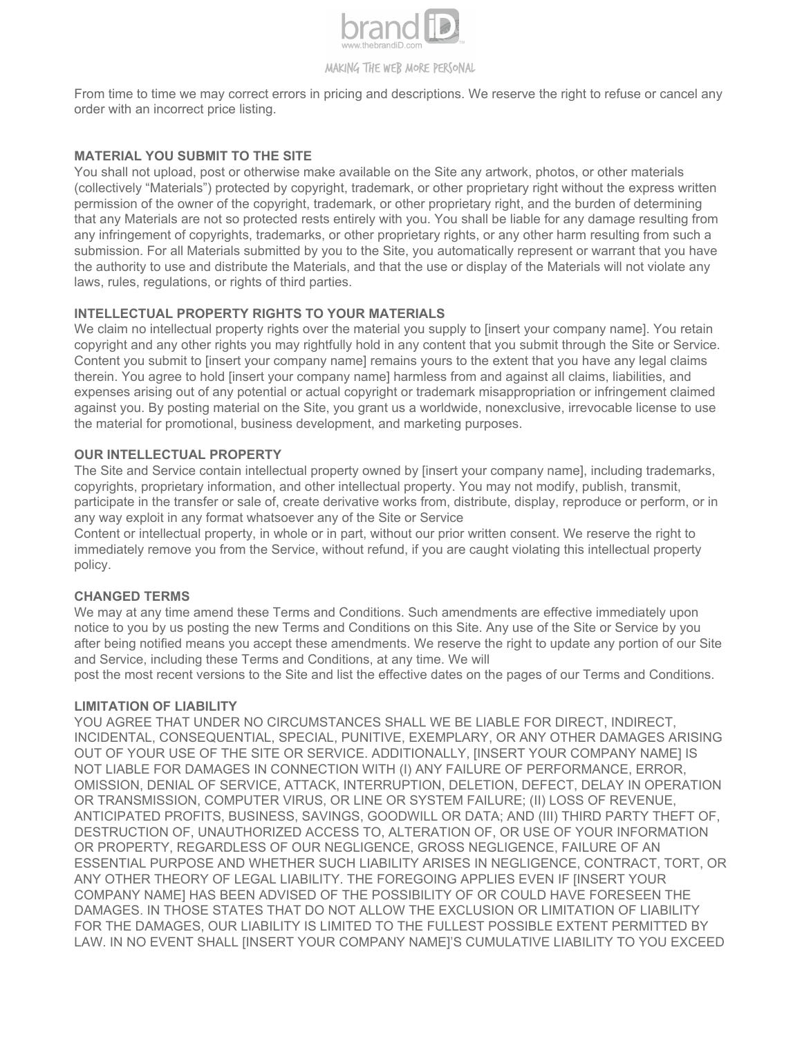

From time to time we may correct errors in pricing and descriptions. We reserve the right to refuse or cancel any order with an incorrect price listing.

## **MATERIAL YOU SUBMIT TO THE SITE**

You shall not upload, post or otherwise make available on the Site any artwork, photos, or other materials (collectively "Materials") protected by copyright, trademark, or other proprietary right without the express written permission of the owner of the copyright, trademark, or other proprietary right, and the burden of determining that any Materials are not so protected rests entirely with you. You shall be liable for any damage resulting from any infringement of copyrights, trademarks, or other proprietary rights, or any other harm resulting from such a submission. For all Materials submitted by you to the Site, you automatically represent or warrant that you have the authority to use and distribute the Materials, and that the use or display of the Materials will not violate any laws, rules, regulations, or rights of third parties.

# **INTELLECTUAL PROPERTY RIGHTS TO YOUR MATERIALS**

We claim no intellectual property rights over the material you supply to [insert your company name]. You retain copyright and any other rights you may rightfully hold in any content that you submit through the Site or Service. Content you submit to [insert your company name] remains yours to the extent that you have any legal claims therein. You agree to hold linsert your company namel harmless from and against all claims, liabilities, and expenses arising out of any potential or actual copyright or trademark misappropriation or infringement claimed against you. By posting material on the Site, you grant us a worldwide, nonexclusive, irrevocable license to use the material for promotional, business development, and marketing purposes.

## **OUR INTELLECTUAL PROPERTY**

The Site and Service contain intellectual property owned by [insert your company name], including trademarks, copyrights, proprietary information, and other intellectual property. You may not modify, publish, transmit, participate in the transfer or sale of, create derivative works from, distribute, display, reproduce or perform, or in any way exploit in any format whatsoever any of the Site or Service

Content or intellectual property, in whole or in part, without our prior written consent. We reserve the right to immediately remove you from the Service, without refund, if you are caught violating this intellectual property policy.

#### **CHANGED TERMS**

We may at any time amend these Terms and Conditions. Such amendments are effective immediately upon notice to you by us posting the new Terms and Conditions on this Site. Any use of the Site or Service by you after being notified means you accept these amendments. We reserve the right to update any portion of our Site and Service, including these Terms and Conditions, at any time. We will

post the most recent versions to the Site and list the effective dates on the pages of our Terms and Conditions.

#### **LIMITATION OF LIABILITY**

YOU AGREE THAT UNDER NO CIRCUMSTANCES SHALL WE BE LIABLE FOR DIRECT, INDIRECT, INCIDENTAL, CONSEQUENTIAL, SPECIAL, PUNITIVE, EXEMPLARY, OR ANY OTHER DAMAGES ARISING OUT OF YOUR USE OF THE SITE OR SERVICE. ADDITIONALLY, [INSERT YOUR COMPANY NAME] IS NOT LIABLE FOR DAMAGES IN CONNECTION WITH (I) ANY FAILURE OF PERFORMANCE, ERROR, OMISSION, DENIAL OF SERVICE, ATTACK, INTERRUPTION, DELETION, DEFECT, DELAY IN OPERATION OR TRANSMISSION, COMPUTER VIRUS, OR LINE OR SYSTEM FAILURE; (II) LOSS OF REVENUE, ANTICIPATED PROFITS, BUSINESS, SAVINGS, GOODWILL OR DATA; AND (III) THIRD PARTY THEFT OF, DESTRUCTION OF, UNAUTHORIZED ACCESS TO, ALTERATION OF, OR USE OF YOUR INFORMATION OR PROPERTY, REGARDLESS OF OUR NEGLIGENCE, GROSS NEGLIGENCE, FAILURE OF AN ESSENTIAL PURPOSE AND WHETHER SUCH LIABILITY ARISES IN NEGLIGENCE, CONTRACT, TORT, OR ANY OTHER THEORY OF LEGAL LIABILITY. THE FOREGOING APPLIES EVEN IF [INSERT YOUR COMPANY NAME] HAS BEEN ADVISED OF THE POSSIBILITY OF OR COULD HAVE FORESEEN THE DAMAGES. IN THOSE STATES THAT DO NOT ALLOW THE EXCLUSION OR LIMITATION OF LIABILITY FOR THE DAMAGES, OUR LIABILITY IS LIMITED TO THE FULLEST POSSIBLE EXTENT PERMITTED BY LAW. IN NO EVENT SHALL [INSERT YOUR COMPANY NAME]'S CUMULATIVE LIABILITY TO YOU EXCEED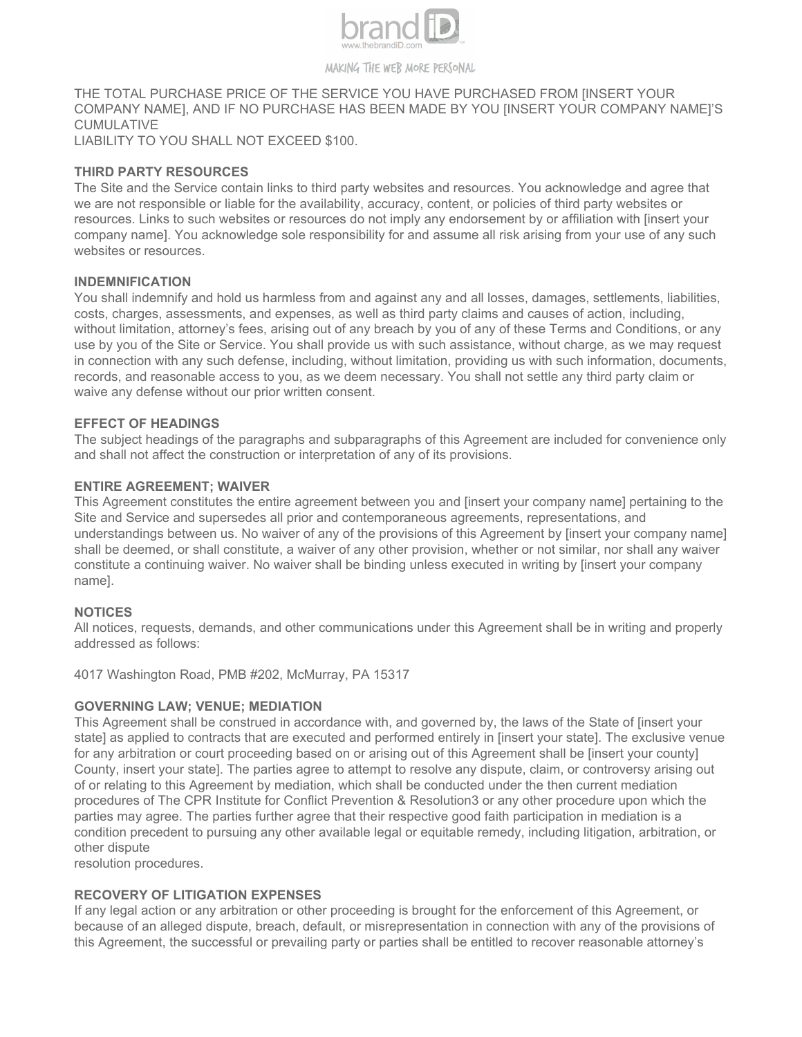

# THE TOTAL PURCHASE PRICE OF THE SERVICE YOU HAVE PURCHASED FROM [INSERT YOUR COMPANY NAME], AND IF NO PURCHASE HAS BEEN MADE BY YOU [INSERT YOUR COMPANY NAME]'S CUMULATIVE

LIABILITY TO YOU SHALL NOT EXCEED \$100.

## **THIRD PARTY RESOURCES**

The Site and the Service contain links to third party websites and resources. You acknowledge and agree that we are not responsible or liable for the availability, accuracy, content, or policies of third party websites or resources. Links to such websites or resources do not imply any endorsement by or affiliation with [insert your company name]. You acknowledge sole responsibility for and assume all risk arising from your use of any such websites or resources.

## **INDEMNIFICATION**

You shall indemnify and hold us harmless from and against any and all losses, damages, settlements, liabilities, costs, charges, assessments, and expenses, as well as third party claims and causes of action, including, without limitation, attorney's fees, arising out of any breach by you of any of these Terms and Conditions, or any use by you of the Site or Service. You shall provide us with such assistance, without charge, as we may request in connection with any such defense, including, without limitation, providing us with such information, documents, records, and reasonable access to you, as we deem necessary. You shall not settle any third party claim or waive any defense without our prior written consent.

## **EFFECT OF HEADINGS**

The subject headings of the paragraphs and subparagraphs of this Agreement are included for convenience only and shall not affect the construction or interpretation of any of its provisions.

## **ENTIRE AGREEMENT; WAIVER**

This Agreement constitutes the entire agreement between you and [insert your company name] pertaining to the Site and Service and supersedes all prior and contemporaneous agreements, representations, and understandings between us. No waiver of any of the provisions of this Agreement by [insert your company name] shall be deemed, or shall constitute, a waiver of any other provision, whether or not similar, nor shall any waiver constitute a continuing waiver. No waiver shall be binding unless executed in writing by [insert your company name].

#### **NOTICES**

All notices, requests, demands, and other communications under this Agreement shall be in writing and properly addressed as follows:

4017 Washington Road, PMB #202, McMurray, PA 15317

#### **GOVERNING LAW; VENUE; MEDIATION**

This Agreement shall be construed in accordance with, and governed by, the laws of the State of [insert your state] as applied to contracts that are executed and performed entirely in [insert your state]. The exclusive venue for any arbitration or court proceeding based on or arising out of this Agreement shall be [insert your county] County, insert your state]. The parties agree to attempt to resolve any dispute, claim, or controversy arising out of or relating to this Agreement by mediation, which shall be conducted under the then current mediation procedures of The CPR Institute for Conflict Prevention & Resolution3 or any other procedure upon which the parties may agree. The parties further agree that their respective good faith participation in mediation is a condition precedent to pursuing any other available legal or equitable remedy, including litigation, arbitration, or other dispute

resolution procedures.

## **RECOVERY OF LITIGATION EXPENSES**

If any legal action or any arbitration or other proceeding is brought for the enforcement of this Agreement, or because of an alleged dispute, breach, default, or misrepresentation in connection with any of the provisions of this Agreement, the successful or prevailing party or parties shall be entitled to recover reasonable attorney's